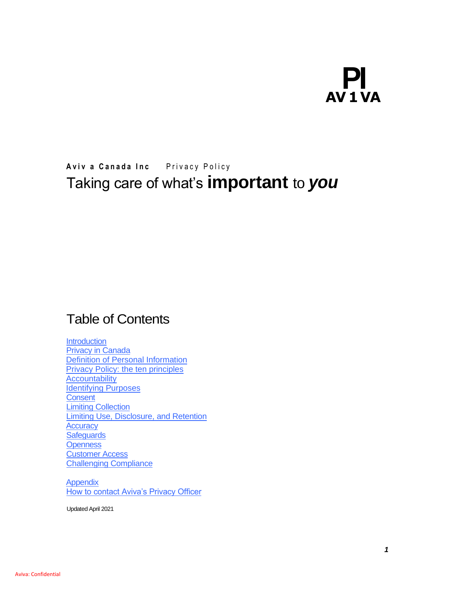# **PI AV 1 VA**

# Aviv a Canada Inc Privacy Policy Taking care of what's **important** to *you*

# Table of Contents

**Introduction Privacy in Canada** Definition of Personal Information Privacy Policy: the ten principles **Accountability Identifying Purposes Consent** Limiting Collection Limiting Use, Disclosure, and Retention **Accuracy Safeguards Openness** Customer Access Challenging Compliance

**Appendix** How to contact Aviva's Privacy Officer

Updated April 2021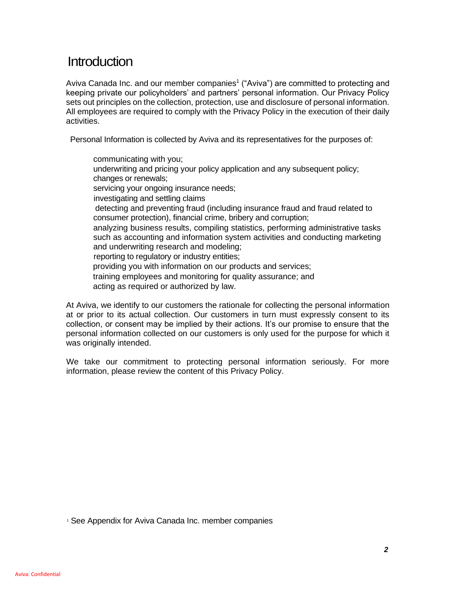### **Introduction**

Aviva Canada Inc. and our member companies<sup>1</sup> ("Aviva") are committed to protecting and keeping private our policyholders' and partners' personal information. Our Privacy Policy sets out principles on the collection, protection, use and disclosure of personal information. All employees are required to comply with the Privacy Policy in the execution of their daily activities.

Personal Information is collected by Aviva and its representatives for the purposes of:

communicating with you; underwriting and pricing your policy application and any subsequent policy; changes or renewals; servicing your ongoing insurance needs; investigating and settling claims detecting and preventing fraud (including insurance fraud and fraud related to consumer protection), financial crime, bribery and corruption; analyzing business results, compiling statistics, performing administrative tasks such as accounting and information system activities and conducting marketing and underwriting research and modeling; reporting to regulatory or industry entities; providing you with information on our products and services; training employees and monitoring for quality assurance; and acting as required or authorized by law.

At Aviva, we identify to our customers the rationale for collecting the personal information at or prior to its actual collection. Our customers in turn must expressly consent to its collection, or consent may be implied by their actions. It's our promise to ensure that the personal information collected on our customers is only used for the purpose for which it was originally intended.

We take our commitment to protecting personal information seriously. For more information, please review the content of this Privacy Policy.

<sup>1</sup> See Appendix for Aviva Canada Inc. member companies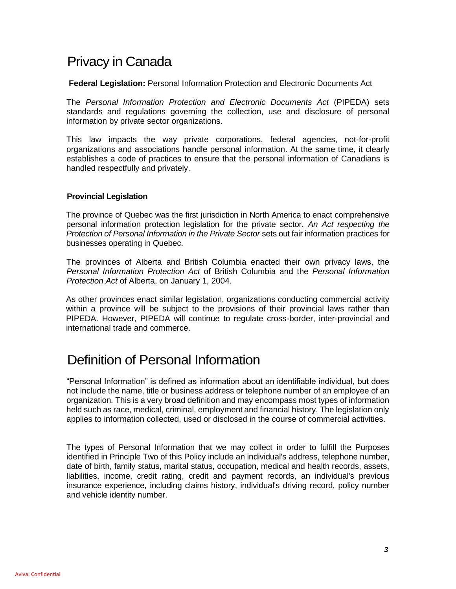# Privacy in Canada

**Federal Legislation:** Personal Information Protection and Electronic Documents Act

The *Personal Information Protection and Electronic Documents Act* (PIPEDA) sets standards and regulations governing the collection, use and disclosure of personal information by private sector organizations.

This law impacts the way private corporations, federal agencies, not-for-profit organizations and associations handle personal information. At the same time, it clearly establishes a code of practices to ensure that the personal information of Canadians is handled respectfully and privately.

#### **Provincial Legislation**

The province of Quebec was the first jurisdiction in North America to enact comprehensive personal information protection legislation for the private sector. *An Act respecting the Protection of Personal Information in the Private Sector* sets out fair information practices for businesses operating in Quebec.

The provinces of Alberta and British Columbia enacted their own privacy laws, the *Personal Information Protection Act* of British Columbia and the *Personal Information Protection Act* of Alberta, on January 1, 2004.

As other provinces enact similar legislation, organizations conducting commercial activity within a province will be subject to the provisions of their provincial laws rather than PIPEDA. However, PIPEDA will continue to regulate cross-border, inter-provincial and international trade and commerce.

# Definition of Personal Information

"Personal Information" is defined as information about an identifiable individual, but does not include the name, title or business address or telephone number of an employee of an organization*.* This is a very broad definition and may encompass most types of information held such as race, medical, criminal, employment and financial history. The legislation only applies to information collected, used or disclosed in the course of commercial activities.

The types of Personal Information that we may collect in order to fulfill the Purposes identified in Principle Two of this Policy include an individual's address, telephone number, date of birth, family status, marital status, occupation, medical and health records, assets, liabilities, income, credit rating, credit and payment records, an individual's previous insurance experience, including claims history, individual's driving record, policy number and vehicle identity number.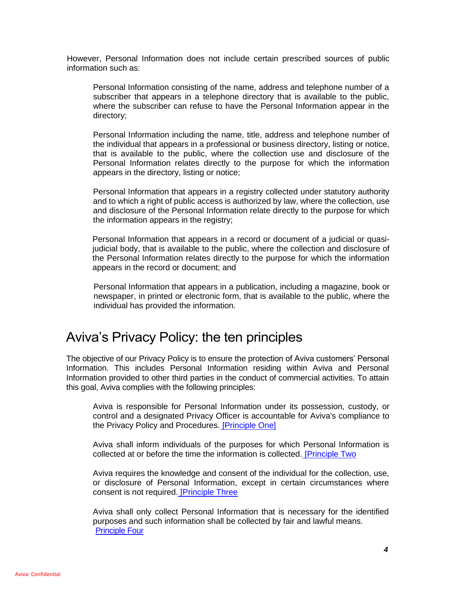However, Personal Information does not include certain prescribed sources of public information such as:

Personal Information consisting of the name, address and telephone number of a subscriber that appears in a telephone directory that is available to the public, where the subscriber can refuse to have the Personal Information appear in the directory;

Personal Information including the name, title, address and telephone number of the individual that appears in a professional or business directory, listing or notice, that is available to the public, where the collection use and disclosure of the Personal Information relates directly to the purpose for which the information appears in the directory, listing or notice;

Personal Information that appears in a registry collected under statutory authority and to which a right of public access is authorized by law, where the collection, use and disclosure of the Personal Information relate directly to the purpose for which the information appears in the registry;

Personal Information that appears in a record or document of a judicial or quasijudicial body, that is available to the public, where the collection and disclosure of the Personal Information relates directly to the purpose for which the information appears in the record or document; and

Personal Information that appears in a publication, including a magazine, book or newspaper, in printed or electronic form, that is available to the public, where the individual has provided the information.

### Aviva's Privacy Policy: the ten principles

The objective of our Privacy Policy is to ensure the protection of Aviva customers' Personal Information. This includes Personal Information residing within Aviva and Personal Information provided to other third parties in the conduct of commercial activities. To attain this goal, Aviva complies with the following principles:

Aviva is responsible for Personal Information under its possession, custody, or control and a designated Privacy Officer is accountable for Aviva's compliance to the Privacy Policy and Procedures. [Principle One]

Aviva shall inform individuals of the purposes for which Personal Information is collected at or before the time the information is collected. **[Principle Two** 

Aviva requires the knowledge and consent of the individual for the collection, use, or disclosure of Personal Information, except in certain circumstances where consent is not required. [Principle Three

Aviva shall only collect Personal Information that is necessary for the identified purposes and such information shall be collected by fair and lawful means. Principle Four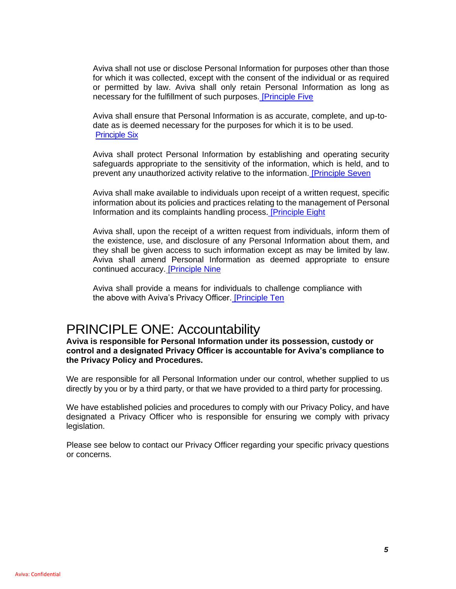Aviva shall not use or disclose Personal Information for purposes other than those for which it was collected, except with the consent of the individual or as required or permitted by law. Aviva shall only retain Personal Information as long as necessary for the fulfillment of such purposes. [Principle Five

Aviva shall ensure that Personal Information is as accurate, complete, and up-todate as is deemed necessary for the purposes for which it is to be used. Principle Six

Aviva shall protect Personal Information by establishing and operating security safeguards appropriate to the sensitivity of the information, which is held, and to prevent any unauthorized activity relative to the information. [Principle Seven

Aviva shall make available to individuals upon receipt of a written request, specific information about its policies and practices relating to the management of Personal Information and its complaints handling process. [Principle Eight

Aviva shall, upon the receipt of a written request from individuals, inform them of the existence, use, and disclosure of any Personal Information about them, and they shall be given access to such information except as may be limited by law. Aviva shall amend Personal Information as deemed appropriate to ensure continued accuracy. **[Principle Nine** 

Aviva shall provide a means for individuals to challenge compliance with the above with Aviva's Privacy Officer. [Principle Ten

### PRINCIPLE ONE: Accountability

**Aviva is responsible for Personal Information under its possession, custody or control and a designated Privacy Officer is accountable for Aviva's compliance to the Privacy Policy and Procedures.**

We are responsible for all Personal Information under our control, whether supplied to us directly by you or by a third party, or that we have provided to a third party for processing.

We have established policies and procedures to comply with our Privacy Policy, and have designated a Privacy Officer who is responsible for ensuring we comply with privacy legislation.

Please see below to contact our Privacy Officer regarding your specific privacy questions or concerns.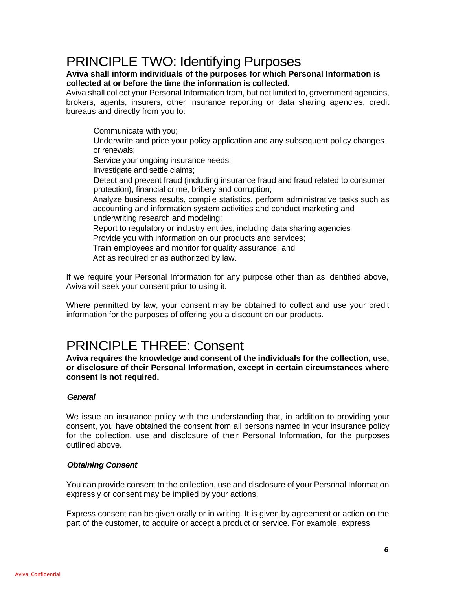### PRINCIPLE TWO: Identifying Purposes

#### **Aviva shall inform individuals of the purposes for which Personal Information is collected at or before the time the information is collected.**

Aviva shall collect your Personal Information from, but not limited to, government agencies, brokers, agents, insurers, other insurance reporting or data sharing agencies, credit bureaus and directly from you to:

Communicate with you; Underwrite and price your policy application and any subsequent policy changes or renewals; Service your ongoing insurance needs; Investigate and settle claims; Detect and prevent fraud (including insurance fraud and fraud related to consumer protection), financial crime, bribery and corruption; Analyze business results, compile statistics, perform administrative tasks such as accounting and information system activities and conduct marketing and underwriting research and modeling; Report to regulatory or industry entities, including data sharing agencies Provide you with information on our products and services; Train employees and monitor for quality assurance; and Act as required or as authorized by law.

If we require your Personal Information for any purpose other than as identified above, Aviva will seek your consent prior to using it.

Where permitted by law, your consent may be obtained to collect and use your credit information for the purposes of offering you a discount on our products.

### PRINCIPLE THREE: Consent

**Aviva requires the knowledge and consent of the individuals for the collection, use, or disclosure of their Personal Information, except in certain circumstances where consent is not required.**

#### *General*

We issue an insurance policy with the understanding that, in addition to providing your consent, you have obtained the consent from all persons named in your insurance policy for the collection, use and disclosure of their Personal Information, for the purposes outlined above.

#### *Obtaining Consent*

You can provide consent to the collection, use and disclosure of your Personal Information expressly or consent may be implied by your actions.

Express consent can be given orally or in writing. It is given by agreement or action on the part of the customer, to acquire or accept a product or service. For example, express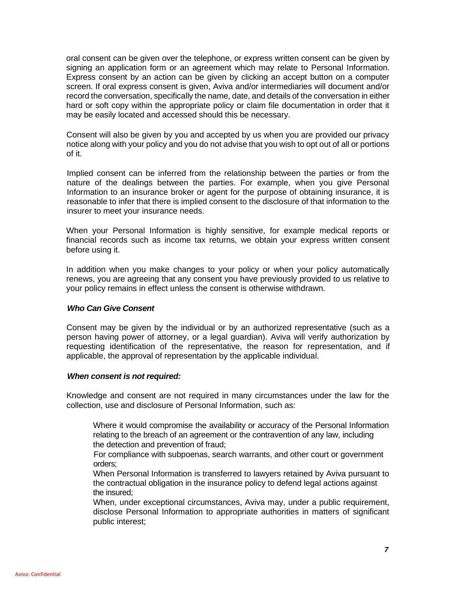oral consent can be given over the telephone, or express written consent can be given by signing an application form or an agreement which may relate to Personal Information. Express consent by an action can be given by clicking an accept button on a computer screen. If oral express consent is given, Aviva and/or intermediaries will document and/or record the conversation, specifically the name, date, and details of the conversation in either hard or soft copy within the appropriate policy or claim file documentation in order that it may be easily located and accessed should this be necessary.

Consent will also be given by you and accepted by us when you are provided our privacy notice along with your policy and you do not advise that you wish to opt out of all or portions of it.

Implied consent can be inferred from the relationship between the parties or from the nature of the dealings between the parties. For example, when you give Personal Information to an insurance broker or agent for the purpose of obtaining insurance, it is reasonable to infer that there is implied consent to the disclosure of that information to the insurer to meet your insurance needs.

When your Personal Information is highly sensitive, for example medical reports or financial records such as income tax returns, we obtain your express written consent before using it.

In addition when you make changes to your policy or when your policy automatically renews, you are agreeing that any consent you have previously provided to us relative to your policy remains in effect unless the consent is otherwise withdrawn.

#### *Who Can Give Consent*

Consent may be given by the individual or by an authorized representative (such as a person having power of attorney, or a legal guardian). Aviva will verify authorization by requesting identification of the representative, the reason for representation, and if applicable, the approval of representation by the applicable individual.

#### *When consent is not required:*

Knowledge and consent are not required in many circumstances under the law for the collection, use and disclosure of Personal Information, such as:

Where it would compromise the availability or accuracy of the Personal Information relating to the breach of an agreement or the contravention of any law, including the detection and prevention of fraud;

For compliance with subpoenas, search warrants, and other court or government orders;

When Personal Information is transferred to lawyers retained by Aviva pursuant to the contractual obligation in the insurance policy to defend legal actions against the insured;

When, under exceptional circumstances, Aviva may, under a public requirement, disclose Personal Information to appropriate authorities in matters of significant public interest;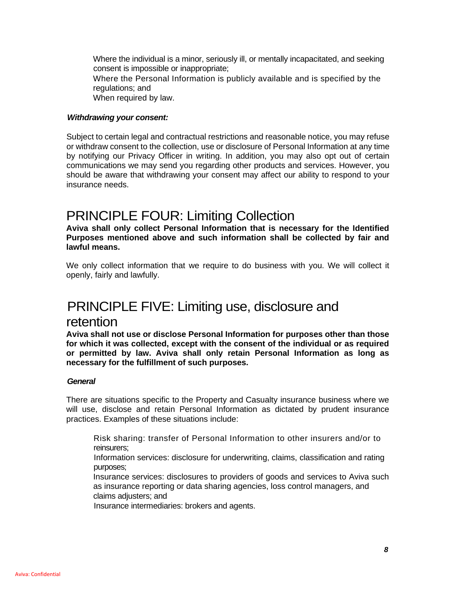Where the individual is a minor, seriously ill, or mentally incapacitated, and seeking consent is impossible or inappropriate; Where the Personal Information is publicly available and is specified by the regulations; and When required by law.

#### *Withdrawing your consent:*

Subject to certain legal and contractual restrictions and reasonable notice, you may refuse or withdraw consent to the collection, use or disclosure of Personal Information at any time by notifying our Privacy Officer in writing. In addition, you may also opt out of certain communications we may send you regarding other products and services. However, you should be aware that withdrawing your consent may affect our ability to respond to your insurance needs.

### PRINCIPLE FOUR: Limiting Collection

**Aviva shall only collect Personal Information that is necessary for the Identified Purposes mentioned above and such information shall be collected by fair and lawful means.**

We only collect information that we require to do business with you. We will collect it openly, fairly and lawfully.

### PRINCIPLE FIVE: Limiting use, disclosure and

### retention

**Aviva shall not use or disclose Personal Information for purposes other than those for which it was collected, except with the consent of the individual or as required or permitted by law. Aviva shall only retain Personal Information as long as necessary for the fulfillment of such purposes.**

#### *General*

There are situations specific to the Property and Casualty insurance business where we will use, disclose and retain Personal Information as dictated by prudent insurance practices. Examples of these situations include:

Risk sharing: transfer of Personal Information to other insurers and/or to reinsurers;

Information services: disclosure for underwriting, claims, classification and rating purposes;

Insurance services: disclosures to providers of goods and services to Aviva such as insurance reporting or data sharing agencies, loss control managers, and claims adjusters; and

Insurance intermediaries: brokers and agents.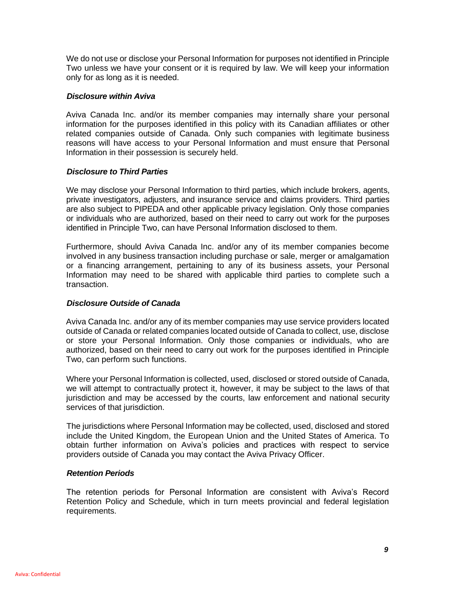We do not use or disclose your Personal Information for purposes not identified in Principle Two unless we have your consent or it is required by law. We will keep your information only for as long as it is needed.

#### *Disclosure within Aviva*

Aviva Canada Inc. and/or its member companies may internally share your personal information for the purposes identified in this policy with its Canadian affiliates or other related companies outside of Canada. Only such companies with legitimate business reasons will have access to your Personal Information and must ensure that Personal Information in their possession is securely held.

#### *Disclosure to Third Parties*

We may disclose your Personal Information to third parties, which include brokers, agents, private investigators, adjusters, and insurance service and claims providers. Third parties are also subject to PIPEDA and other applicable privacy legislation. Only those companies or individuals who are authorized, based on their need to carry out work for the purposes identified in Principle Two, can have Personal Information disclosed to them.

Furthermore, should Aviva Canada Inc. and/or any of its member companies become involved in any business transaction including purchase or sale, merger or amalgamation or a financing arrangement, pertaining to any of its business assets, your Personal Information may need to be shared with applicable third parties to complete such a transaction.

#### *Disclosure Outside of Canada*

Aviva Canada Inc. and/or any of its member companies may use service providers located outside of Canada or related companies located outside of Canada to collect, use, disclose or store your Personal Information. Only those companies or individuals, who are authorized, based on their need to carry out work for the purposes identified in Principle Two, can perform such functions.

Where your Personal Information is collected, used, disclosed or stored outside of Canada, we will attempt to contractually protect it, however, it may be subject to the laws of that jurisdiction and may be accessed by the courts, law enforcement and national security services of that jurisdiction.

The jurisdictions where Personal Information may be collected, used, disclosed and stored include the United Kingdom, the European Union and the United States of America. To obtain further information on Aviva's policies and practices with respect to service providers outside of Canada you may contact the Aviva Privacy Officer.

#### *Retention Periods*

The retention periods for Personal Information are consistent with Aviva's Record Retention Policy and Schedule, which in turn meets provincial and federal legislation requirements.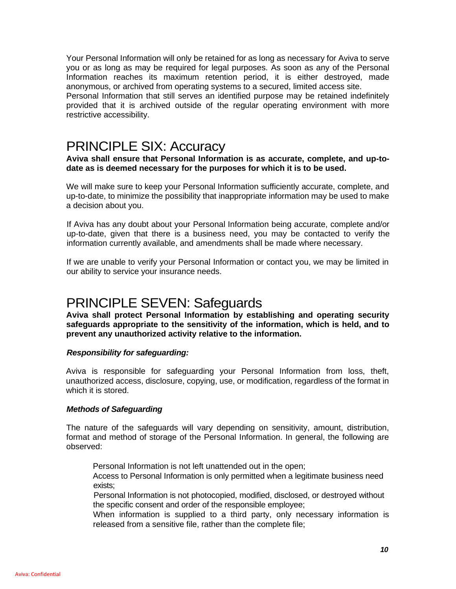Your Personal Information will only be retained for as long as necessary for Aviva to serve you or as long as may be required for legal purposes. As soon as any of the Personal Information reaches its maximum retention period, it is either destroyed, made anonymous, or archived from operating systems to a secured, limited access site. Personal Information that still serves an identified purpose may be retained indefinitely provided that it is archived outside of the regular operating environment with more restrictive accessibility.

### PRINCIPLE SIX: Accuracy

#### **Aviva shall ensure that Personal Information is as accurate, complete, and up-todate as is deemed necessary for the purposes for which it is to be used.**

We will make sure to keep your Personal Information sufficiently accurate, complete, and up-to-date, to minimize the possibility that inappropriate information may be used to make a decision about you.

If Aviva has any doubt about your Personal Information being accurate, complete and/or up-to-date, given that there is a business need, you may be contacted to verify the information currently available, and amendments shall be made where necessary.

If we are unable to verify your Personal Information or contact you, we may be limited in our ability to service your insurance needs.

# PRINCIPLE SEVEN: Safeguards

**Aviva shall protect Personal Information by establishing and operating security safeguards appropriate to the sensitivity of the information, which is held, and to prevent any unauthorized activity relative to the information.**

#### *Responsibility for safeguarding:*

Aviva is responsible for safeguarding your Personal Information from loss, theft, unauthorized access, disclosure, copying, use, or modification, regardless of the format in which it is stored.

#### *Methods of Safeguarding*

The nature of the safeguards will vary depending on sensitivity, amount, distribution, format and method of storage of the Personal Information. In general, the following are observed:

Personal Information is not left unattended out in the open;

Access to Personal Information is only permitted when a legitimate business need exists;

Personal Information is not photocopied, modified, disclosed, or destroyed without the specific consent and order of the responsible employee;

When information is supplied to a third party, only necessary information is released from a sensitive file, rather than the complete file;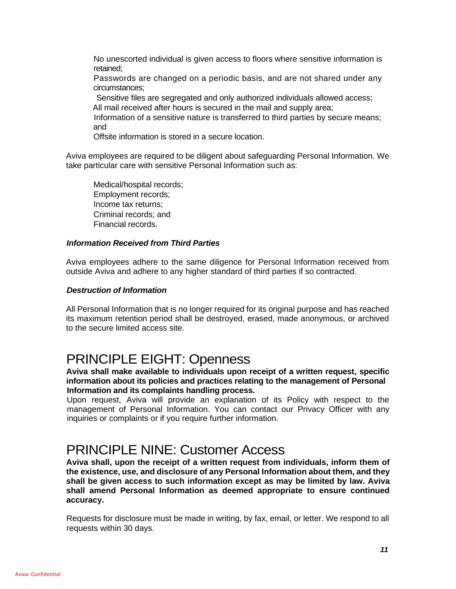No unescorted individual is given access to floors where sensitive information is retained;

Passwords are changed on a periodic basis, and are not shared under any circumstances;

Sensitive files are segregated and only authorized individuals allowed access; All mail received after hours is secured in the mail and supply area;

Information of a sensitive nature is transferred to third parties by secure means; and

Offsite information is stored in a secure location.

Aviva employees are required to be diligent about safeguarding Personal Information. We take particular care with sensitive Personal Information such as:

Medical/hospital records; Employment records; Income tax returns; Criminal records; and Financial records.

#### *Information Received from Third Parties*

Aviva employees adhere to the same diligence for Personal Information received from outside Aviva and adhere to any higher standard of third parties if so contracted.

#### *Destruction of Information*

All Personal Information that is no longer required for its original purpose and has reached its maximum retention period shall be destroyed, erased, made anonymous, or archived to the secure limited access site.

### PRINCIPLE EIGHT: Openness

#### **Aviva shall make available to individuals upon receipt of a written request, specific information about its policies and practices relating to the management of Personal Information and its complaints handling process.**

Upon request, Aviva will provide an explanation of its Policy with respect to the management of Personal Information. You can contact our Privacy Officer with any inquiries or complaints or if you require further information.

### PRINCIPLE NINE: Customer Access

**Aviva shall, upon the receipt of a written request from individuals, inform them of the existence, use, and disclosure of any Personal Information about them, and they shall be given access to such information except as may be limited by law. Aviva shall amend Personal Information as deemed appropriate to ensure continued accuracy.**

Requests for disclosure must be made in writing, by fax, email, or letter. We respond to all requests within 30 days.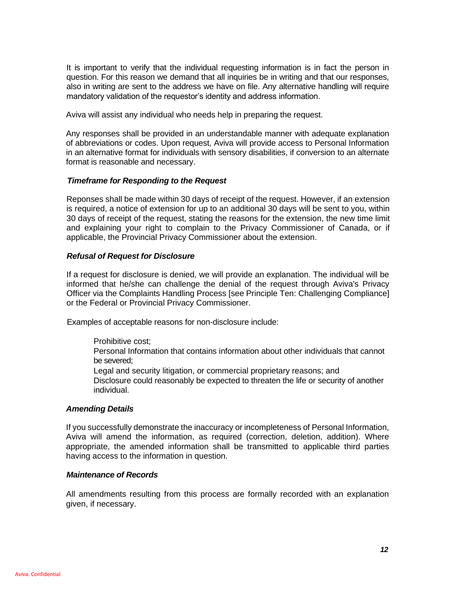It is important to verify that the individual requesting information is in fact the person in question. For this reason we demand that all inquiries be in writing and that our responses, also in writing are sent to the address we have on file. Any alternative handling will require mandatory validation of the requestor's identity and address information.

Aviva will assist any individual who needs help in preparing the request.

Any responses shall be provided in an understandable manner with adequate explanation of abbreviations or codes. Upon request, Aviva will provide access to Personal Information in an alternative format for individuals with sensory disabilities, if conversion to an alternate format is reasonable and necessary.

#### *Timeframe for Responding to the Request*

Reponses shall be made within 30 days of receipt of the request. However, if an extension is required, a notice of extension for up to an additional 30 days will be sent to you, within 30 days of receipt of the request, stating the reasons for the extension, the new time limit and explaining your right to complain to the Privacy Commissioner of Canada, or if applicable, the Provincial Privacy Commissioner about the extension.

#### *Refusal of Request for Disclosure*

If a request for disclosure is denied, we will provide an explanation. The individual will be informed that he/she can challenge the denial of the request through Aviva's Privacy Officer via the Complaints Handling Process [see Principle Ten: Challenging Compliance] or the Federal or Provincial Privacy Commissioner.

Examples of acceptable reasons for non-disclosure include:

Prohibitive cost;

Personal Information that contains information about other individuals that cannot be severed;

Legal and security litigation, or commercial proprietary reasons; and

Disclosure could reasonably be expected to threaten the life or security of another individual.

#### *Amending Details*

If you successfully demonstrate the inaccuracy or incompleteness of Personal Information, Aviva will amend the information, as required (correction, deletion, addition). Where appropriate, the amended information shall be transmitted to applicable third parties having access to the information in question.

#### *Maintenance of Records*

All amendments resulting from this process are formally recorded with an explanation given, if necessary.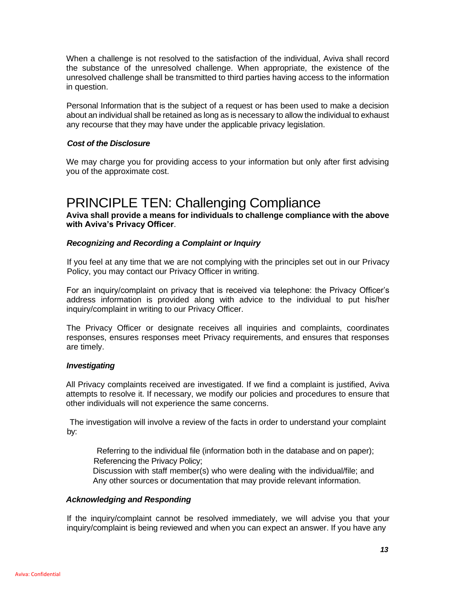When a challenge is not resolved to the satisfaction of the individual, Aviva shall record the substance of the unresolved challenge. When appropriate, the existence of the unresolved challenge shall be transmitted to third parties having access to the information in question.

Personal Information that is the subject of a request or has been used to make a decision about an individual shall be retained as long as is necessary to allow the individual to exhaust any recourse that they may have under the applicable privacy legislation.

#### *Cost of the Disclosure*

We may charge you for providing access to your information but only after first advising you of the approximate cost.

### PRINCIPLE TEN: Challenging Compliance

**Aviva shall provide a means for individuals to challenge compliance with the above with Aviva's Privacy Officer**.

#### *Recognizing and Recording a Complaint or Inquiry*

If you feel at any time that we are not complying with the principles set out in our Privacy Policy, you may contact our Privacy Officer in writing.

For an inquiry/complaint on privacy that is received via telephone: the Privacy Officer's address information is provided along with advice to the individual to put his/her inquiry/complaint in writing to our Privacy Officer.

The Privacy Officer or designate receives all inquiries and complaints, coordinates responses, ensures responses meet Privacy requirements, and ensures that responses are timely.

#### *Investigating*

All Privacy complaints received are investigated. If we find a complaint is justified, Aviva attempts to resolve it. If necessary, we modify our policies and procedures to ensure that other individuals will not experience the same concerns.

The investigation will involve a review of the facts in order to understand your complaint by:

Referring to the individual file (information both in the database and on paper); Referencing the Privacy Policy;

Discussion with staff member(s) who were dealing with the individual/file; and Any other sources or documentation that may provide relevant information.

#### *Acknowledging and Responding*

If the inquiry/complaint cannot be resolved immediately, we will advise you that your inquiry/complaint is being reviewed and when you can expect an answer. If you have any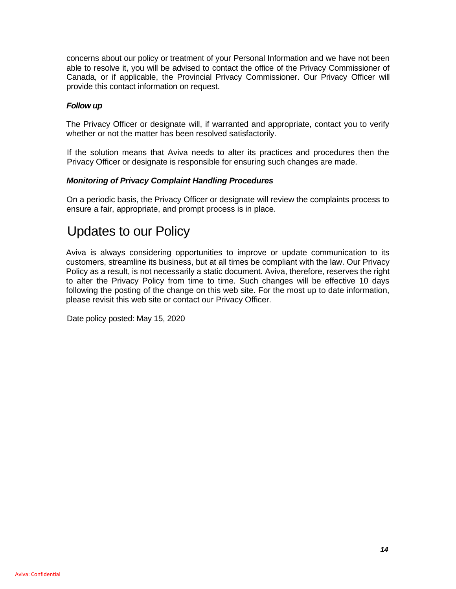concerns about our policy or treatment of your Personal Information and we have not been able to resolve it, you will be advised to contact the office of the Privacy Commissioner of Canada, or if applicable, the Provincial Privacy Commissioner. Our Privacy Officer will provide this contact information on request.

#### *Follow up*

The Privacy Officer or designate will, if warranted and appropriate, contact you to verify whether or not the matter has been resolved satisfactorily.

If the solution means that Aviva needs to alter its practices and procedures then the Privacy Officer or designate is responsible for ensuring such changes are made.

#### *Monitoring of Privacy Complaint Handling Procedures*

On a periodic basis, the Privacy Officer or designate will review the complaints process to ensure a fair, appropriate, and prompt process is in place.

### Updates to our Policy

Aviva is always considering opportunities to improve or update communication to its customers, streamline its business, but at all times be compliant with the law. Our Privacy Policy as a result, is not necessarily a static document. Aviva, therefore, reserves the right to alter the Privacy Policy from time to time. Such changes will be effective 10 days following the posting of the change on this web site. For the most up to date information, please revisit this web site or contact our Privacy Officer.

Date policy posted: May 15, 2020